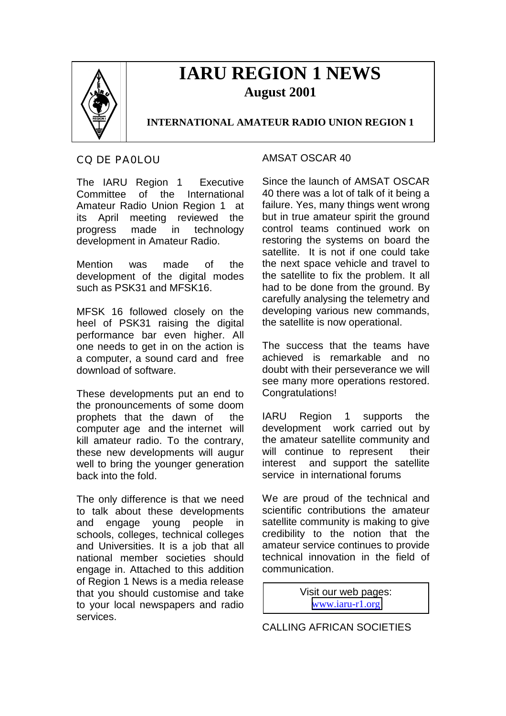

# **IARU REGION 1 NEWS August 2001**

## **INTERNATIONAL AMATEUR RADIO UNION REGION 1**

#### CQ DE PA0LOU

The IARU Region 1 Executive Committee of the International Amateur Radio Union Region 1 at its April meeting reviewed the progress made in technology development in Amateur Radio.

Mention was made of the development of the digital modes such as PSK31 and MFSK16.

MFSK 16 followed closely on the heel of PSK31 raising the digital performance bar even higher. All one needs to get in on the action is a computer, a sound card and free download of software.

These developments put an end to the pronouncements of some doom prophets that the dawn of the computer age and the internet will kill amateur radio. To the contrary, these new developments will augur well to bring the younger generation back into the fold.

The only difference is that we need to talk about these developments and engage young people in schools, colleges, technical colleges and Universities. It is a job that all national member societies should engage in. Attached to this addition of Region 1 News is a media release that you should customise and take to your local newspapers and radio services.

#### AMSAT OSCAR 40

Since the launch of AMSAT OSCAR 40 there was a lot of talk of it being a failure. Yes, many things went wrong but in true amateur spirit the ground control teams continued work on restoring the systems on board the satellite. It is not if one could take the next space vehicle and travel to the satellite to fix the problem. It all had to be done from the ground. By carefully analysing the telemetry and developing various new commands, the satellite is now operational.

The success that the teams have achieved is remarkable and no doubt with their perseverance we will see many more operations restored. Congratulations!

IARU Region 1 supports the development work carried out by the amateur satellite community and will continue to represent their interest and support the satellite service in international forums

We are proud of the technical and scientific contributions the amateur satellite community is making to give credibility to the notion that the amateur service continues to provide technical innovation in the field of communication.

> Visit our web pages: [www.iaru-r1.org](http://www.iaru-r1.org/)

CALLING AFRICAN SOCIETIES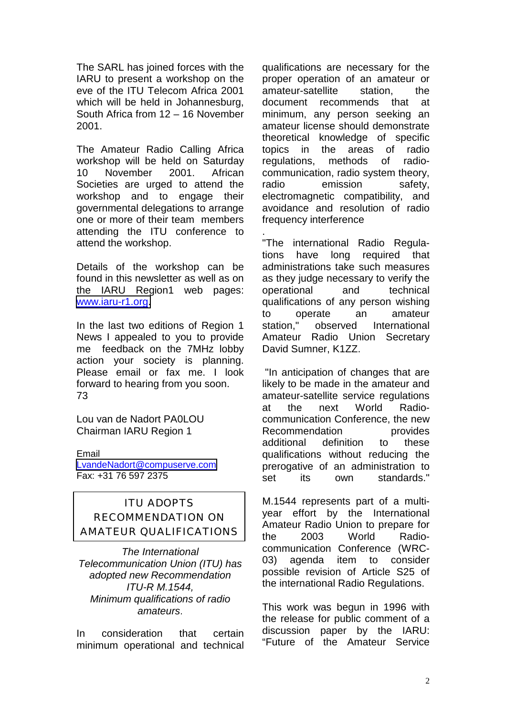The SARL has joined forces with the IARU to present a workshop on the eve of the ITU Telecom Africa 2001 which will be held in Johannesburg. South Africa from 12 – 16 November 2001.

The Amateur Radio Calling Africa workshop will be held on Saturday 10 November 2001. African Societies are urged to attend the workshop and to engage their governmental delegations to arrange one or more of their team members attending the ITU conference to attend the workshop.

Details of the workshop can be found in this newsletter as well as on the IARU Region1 web pages: [www.iaru-r1.org.](http://www.iaru-r1.org/)

In the last two editions of Region 1 News I appealed to you to provide me feedback on the 7MHz lobby action your society is planning. Please email or fax me. I look forward to hearing from you soon. 73

Lou van de Nadort PA0LOU Chairman IARU Region 1

Email [LvandeNadort@compuserve.com](mailto:LvandeNadort@compuserve.com) Fax: +31 76 597 2375

## ITU ADOPTS RECOMMENDATION ON AMATEUR QUALIFICATIONS

*The International Telecommunication Union (ITU) has adopted new Recommendation ITU-R M.1544, Minimum qualifications of radio amateurs*.

In consideration that certain minimum operational and technical

qualifications are necessary for the proper operation of an amateur or amateur-satellite station, the document recommends that at minimum, any person seeking an amateur license should demonstrate theoretical knowledge of specific topics in the areas of radio regulations, methods of radiocommunication, radio system theory, radio emission safety. electromagnetic compatibility, and avoidance and resolution of radio frequency interference

. "The international Radio Regulations have long required that administrations take such measures as they judge necessary to verify the operational and technical qualifications of any person wishing to operate an amateur station." observed International Amateur Radio Union Secretary David Sumner, K1ZZ.

 "In anticipation of changes that are likely to be made in the amateur and amateur-satellite service regulations at the next World Radiocommunication Conference, the new Recommendation **provides** additional definition to these qualifications without reducing the prerogative of an administration to set its own standards."

M.1544 represents part of a multiyear effort by the International Amateur Radio Union to prepare for the 2003 World Radiocommunication Conference (WRC-03) agenda item to consider possible revision of Article S25 of the international Radio Regulations.

This work was begun in 1996 with the release for public comment of a discussion paper by the IARU: "Future of the Amateur Service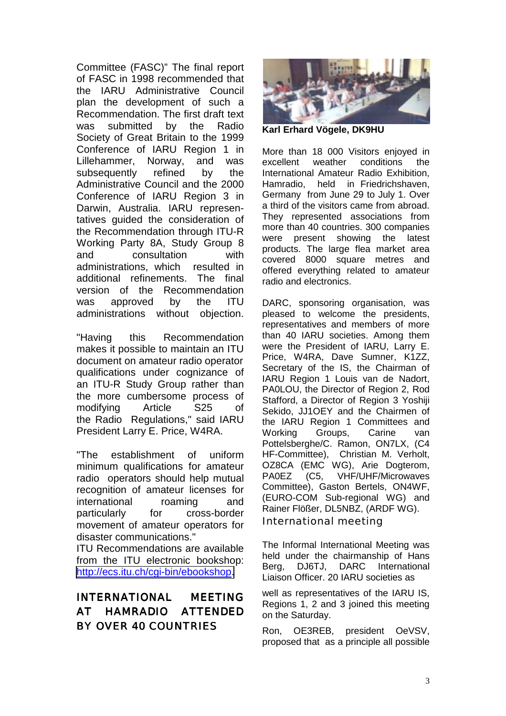Committee (FASC)" The final report of FASC in 1998 recommended that the IARU Administrative Council plan the development of such a Recommendation. The first draft text was submitted by the Radio Society of Great Britain to the 1999 Conference of IARU Region 1 in Lillehammer, Norway, and was subsequently refined by the Administrative Council and the 2000 Conference of IARU Region 3 in Darwin, Australia. IARU representatives guided the consideration of the Recommendation through ITU-R Working Party 8A, Study Group 8 and consultation with administrations, which resulted in additional refinements. The final version of the Recommendation was approved by the ITU administrations without objection.

"Having this Recommendation makes it possible to maintain an ITU document on amateur radio operator qualifications under cognizance of an ITU-R Study Group rather than the more cumbersome process of modifying Article S25 of the Radio Regulations," said IARU President Larry E. Price, W4RA.

"The establishment of uniform minimum qualifications for amateur radio operators should help mutual recognition of amateur licenses for international roaming and particularly for cross-border movement of amateur operators for disaster communications."

ITU Recommendations are available from the ITU electronic bookshop: [http://ecs.itu.ch/cgi-bin/ebookshop.](http://ecs.itu.ch/cgi-bin/ebookshop)

## INTERNATIONAL MEETING AT HAMRADIO ATTENDED BY OVER 40 COUNTRIES



**Karl Erhard Vögele, DK9HU**

More than 18 000 Visitors enjoyed in excellent weather conditions the International Amateur Radio Exhibition, Hamradio, held in Friedrichshaven, Germany from June 29 to July 1. Over a third of the visitors came from abroad. They represented associations from more than 40 countries. 300 companies were present showing the latest products. The large flea market area covered 8000 square metres and offered everything related to amateur radio and electronics.

DARC, sponsoring organisation, was pleased to welcome the presidents, representatives and members of more than 40 IARU societies. Among them were the President of IARU, Larry E. Price, W4RA, Dave Sumner, K1ZZ, Secretary of the IS, the Chairman of IARU Region 1 Louis van de Nadort, PA0LOU, the Director of Region 2, Rod Stafford, a Director of Region 3 Yoshiji Sekido, JJ1OEY and the Chairmen of the IARU Region 1 Committees and Working Groups, Carine van Pottelsberghe/C. Ramon, ON7LX, (C4 HF-Committee), Christian M. Verholt, OZ8CA (EMC WG), Arie Dogterom, PA0EZ (C5, VHF/UHF/Microwaves Committee), Gaston Bertels, ON4WF, (EURO-COM Sub-regional WG) and Rainer Flößer, DL5NBZ, (ARDF WG). International meeting

The Informal International Meeting was held under the chairmanship of Hans Berg, DJ6TJ, DARC International Liaison Officer. 20 IARU societies as

well as representatives of the IARU IS, Regions 1, 2 and 3 joined this meeting on the Saturday.

Ron, OE3REB, president OeVSV, proposed that as a principle all possible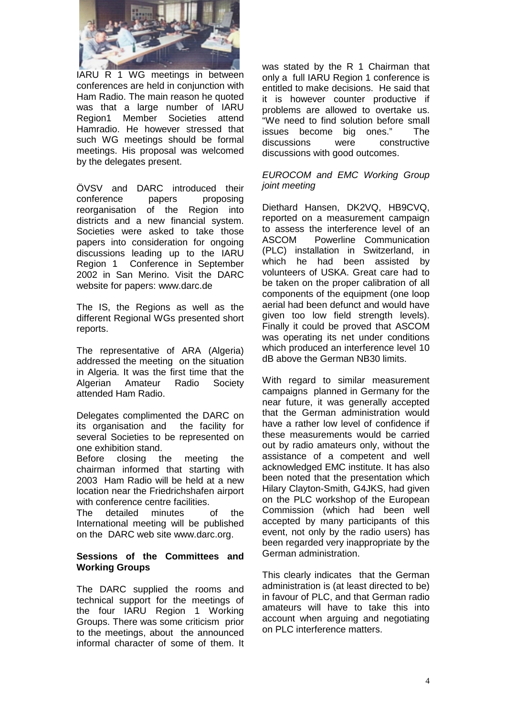

IARU R 1 WG meetings in between conferences are held in conjunction with Ham Radio. The main reason he quoted was that a large number of IARU Region1 Member Societies attend Hamradio. He however stressed that such WG meetings should be formal meetings. His proposal was welcomed by the delegates present.

ÖVSV and DARC introduced their conference papers proposing reorganisation of the Region into districts and a new financial system. Societies were asked to take those papers into consideration for ongoing discussions leading up to the IARU Region 1 Conference in September 2002 in San Merino. Visit the DARC website for papers: www.darc.de

The IS, the Regions as well as the different Regional WGs presented short reports.

The representative of ARA (Algeria) addressed the meeting on the situation in Algeria. It was the first time that the Algerian Amateur Radio Society attended Ham Radio.

Delegates complimented the DARC on its organisation and the facility for several Societies to be represented on one exhibition stand.

Before closing the meeting the chairman informed that starting with 2003 Ham Radio will be held at a new location near the Friedrichshafen airport with conference centre facilities.

The detailed minutes of the International meeting will be published on the DARC web site www.darc.org.

#### **Sessions of the Committees and Working Groups**

The DARC supplied the rooms and technical support for the meetings of the four IARU Region 1 Working Groups. There was some criticism prior to the meetings, about the announced informal character of some of them. It

was stated by the R 1 Chairman that only a full IARU Region 1 conference is entitled to make decisions. He said that it is however counter productive if problems are allowed to overtake us. "We need to find solution before small issues become big ones." The discussions were constructive discussions with good outcomes.

#### *EUROCOM and EMC Working Group joint meeting*

Diethard Hansen, DK2VQ, HB9CVQ, reported on a measurement campaign to assess the interference level of an ASCOM Powerline Communication (PLC) installation in Switzerland, in which he had been assisted by volunteers of USKA. Great care had to be taken on the proper calibration of all components of the equipment (one loop aerial had been defunct and would have given too low field strength levels). Finally it could be proved that ASCOM was operating its net under conditions which produced an interference level 10 dB above the German NB30 limits.

With regard to similar measurement campaigns planned in Germany for the near future, it was generally accepted that the German administration would have a rather low level of confidence if these measurements would be carried out by radio amateurs only, without the assistance of a competent and well acknowledged EMC institute. It has also been noted that the presentation which Hilary Clayton-Smith, G4JKS, had given on the PLC workshop of the European Commission (which had been well accepted by many participants of this event, not only by the radio users) has been regarded very inappropriate by the German administration.

This clearly indicates that the German administration is (at least directed to be) in favour of PLC, and that German radio amateurs will have to take this into account when arguing and negotiating on PLC interference matters.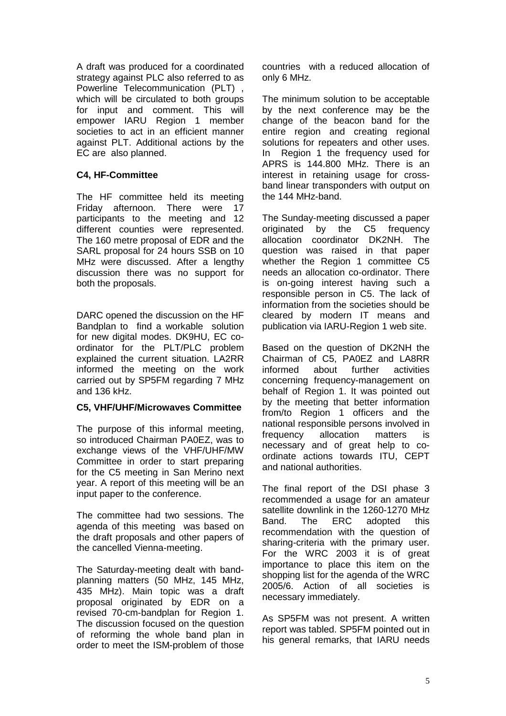A draft was produced for a coordinated strategy against PLC also referred to as Powerline Telecommunication (PLT) , which will be circulated to both groups for input and comment. This will empower IARU Region 1 member societies to act in an efficient manner against PLT. Additional actions by the EC are also planned.

#### **C4, HF-Committee**

The HF committee held its meeting Friday afternoon. There were 17 participants to the meeting and 12 different counties were represented. The 160 metre proposal of EDR and the SARL proposal for 24 hours SSB on 10 MHz were discussed. After a lengthy discussion there was no support for both the proposals.

DARC opened the discussion on the HF Bandplan to find a workable solution for new digital modes. DK9HU, EC coordinator for the PLT/PLC problem explained the current situation. LA2RR informed the meeting on the work carried out by SP5FM regarding 7 MHz and 136 kHz.

#### **C5, VHF/UHF/Microwaves Committee**

The purpose of this informal meeting, so introduced Chairman PA0EZ, was to exchange views of the VHF/UHF/MW Committee in order to start preparing for the C5 meeting in San Merino next year. A report of this meeting will be an input paper to the conference.

The committee had two sessions. The agenda of this meeting was based on the draft proposals and other papers of the cancelled Vienna-meeting.

The Saturday-meeting dealt with bandplanning matters (50 MHz, 145 MHz, 435 MHz). Main topic was a draft proposal originated by EDR on a revised 70-cm-bandplan for Region 1. The discussion focused on the question of reforming the whole band plan in order to meet the ISM-problem of those

countries with a reduced allocation of only 6 MHz.

The minimum solution to be acceptable by the next conference may be the change of the beacon band for the entire region and creating regional solutions for repeaters and other uses. In Region 1 the frequency used for APRS is 144.800 MHz. There is an interest in retaining usage for crossband linear transponders with output on the 144 MHz-band.

The Sunday-meeting discussed a paper originated by the C5 frequency allocation coordinator DK2NH. The question was raised in that paper whether the Region 1 committee C5 needs an allocation co-ordinator. There is on-going interest having such a responsible person in C5. The lack of information from the societies should be cleared by modern IT means and publication via IARU-Region 1 web site.

Based on the question of DK2NH the Chairman of C5, PA0EZ and LA8RR informed about further activities concerning frequency-management on behalf of Region 1. It was pointed out by the meeting that better information from/to Region 1 officers and the national responsible persons involved in frequency allocation matters is necessary and of great help to coordinate actions towards ITU, CEPT and national authorities.

The final report of the DSI phase 3 recommended a usage for an amateur satellite downlink in the 1260-1270 MHz Band. The ERC adopted this recommendation with the question of sharing-criteria with the primary user. For the WRC 2003 it is of great importance to place this item on the shopping list for the agenda of the WRC 2005/6. Action of all societies is necessary immediately.

As SP5FM was not present. A written report was tabled. SP5FM pointed out in his general remarks, that IARU needs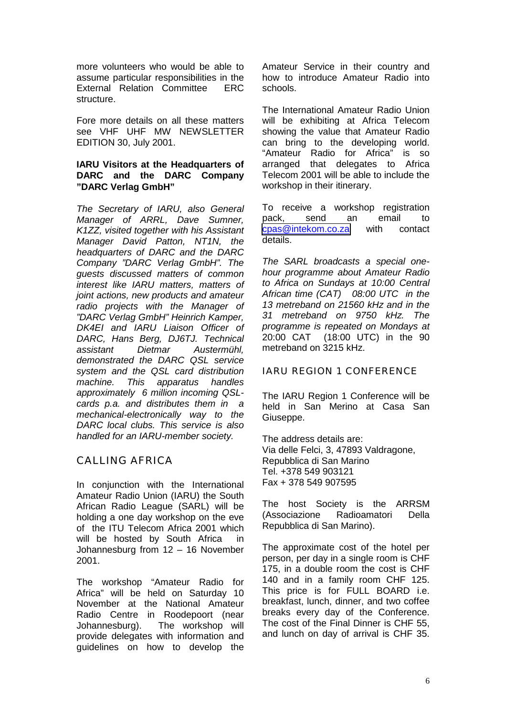more volunteers who would be able to assume particular responsibilities in the External Relation Committee ERC structure.

Fore more details on all these matters see VHF UHF MW NEWSLETTER EDITION 30, July 2001.

#### **IARU Visitors at the Headquarters of DARC and the DARC Company "DARC Verlag GmbH"**

*The Secretary of IARU, also General Manager of ARRL, Dave Sumner, K1ZZ, visited together with his Assistant Manager David Patton, NT1N, the headquarters of DARC and the DARC Company "DARC Verlag GmbH". The guests discussed matters of common interest like IARU matters, matters of joint actions, new products and amateur radio projects with the Manager of "DARC Verlag GmbH" Heinrich Kamper, DK4EI and IARU Liaison Officer of DARC, Hans Berg, DJ6TJ. Technical assistant Dietmar Austermühl, demonstrated the DARC QSL service system and the QSL card distribution machine. This apparatus handles approximately 6 million incoming QSLcards p.a. and distributes them in a mechanical-electronically way to the DARC local clubs. This service is also handled for an IARU-member society.*

### CALLING AFRICA

In conjunction with the International Amateur Radio Union (IARU) the South African Radio League (SARL) will be holding a one day workshop on the eve of the ITU Telecom Africa 2001 which will be hosted by South Africa in Johannesburg from 12 – 16 November 2001.

The workshop "Amateur Radio for Africa" will be held on Saturday 10 November at the National Amateur Radio Centre in Roodepoort (near Johannesburg). The workshop will provide delegates with information and guidelines on how to develop the

Amateur Service in their country and how to introduce Amateur Radio into schools.

The International Amateur Radio Union will be exhibiting at Africa Telecom showing the value that Amateur Radio can bring to the developing world. "Amateur Radio for Africa" is so arranged that delegates to Africa Telecom 2001 will be able to include the workshop in their itinerary.

To receive a workshop registration pack, send an email to [cpas@intekom.co.za](mailto:cpas@intekom.co.za) with contact details.

*The SARL broadcasts a special onehour programme about Amateur Radio to Africa on Sundays at 10:00 Central African time (CAT) 08:00 UTC in the 13 metreband on 21560 kHz and in the 31 metreband on 9750 kHz. The programme is repeated on Mondays at* 20:00 CAT (18:00 UTC) in the 90 metreband on 3215 kHz.

#### IARU REGION 1 CONFERENCE

The IARU Region 1 Conference will be held in San Merino at Casa San Giuseppe.

The address details are: Via delle Felci, 3, 47893 Valdragone, Repubblica di San Marino Tel. +378 549 903121 Fax + 378 549 907595

The host Society is the ARRSM (Associazione Radioamatori Della Repubblica di San Marino).

The approximate cost of the hotel per person, per day in a single room is CHF 175, in a double room the cost is CHF 140 and in a family room CHF 125. This price is for FULL BOARD i.e. breakfast, lunch, dinner, and two coffee breaks every day of the Conference. The cost of the Final Dinner is CHF 55, and lunch on day of arrival is CHF 35.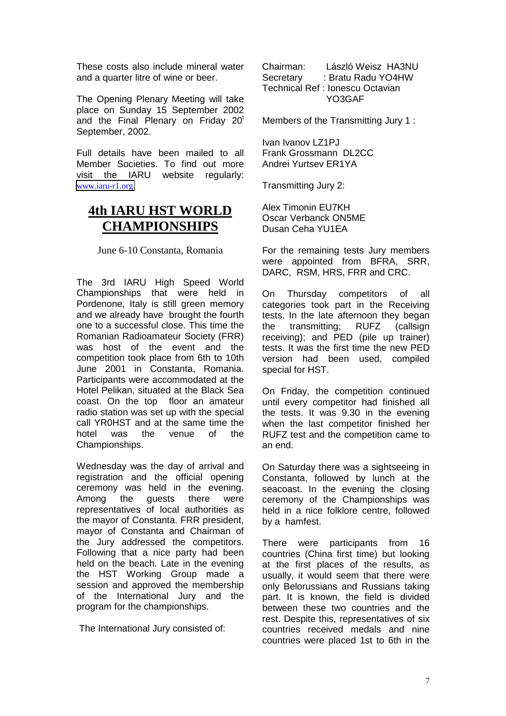These costs also include mineral water and a quarter litre of wine or beer.

The Opening Plenary Meeting will take place on Sunday 15 September 2002 and the Final Plenary on Friday 20<sup>t</sup> September, 2002.

Full details have been mailed to all Member Societies. To find out more visit the IARU website regularly: [www.iaru-r1.org](http://www.iaru-r1.org/).

## **4th IARU HST WORLD CHAMPIONSHIPS**

June 6-10 Constanta, Romania

The 3rd IARU High Speed World Championships that were held in Pordenone, Italy is still green memory and we already have brought the fourth one to a successful close. This time the Romanian Radioamateur Society (FRR) was host of the event and the competition took place from 6th to 10th June 2001 in Constanta, Romania. Participants were accommodated at the Hotel Pelikan, situated at the Black Sea coast. On the top floor an amateur radio station was set up with the special call YR0HST and at the same time the hotel was the venue of the Championships.

Wednesday was the day of arrival and registration and the official opening ceremony was held in the evening. Among the guests there were representatives of local authorities as the mayor of Constanta. FRR president, mayor of Constanta and Chairman of the Jury addressed the competitors. Following that a nice party had been held on the beach. Late in the evening the HST Working Group made a session and approved the membership of the International Jury and the program for the championships.

The International Jury consisted of:

Chairman: László Weisz HA3NU Secretary : Bratu Radu YO4HW Technical Ref : Ionescu Octavian YO3GAF

Members of the Transmitting Jury 1 :

Ivan Ivanov LZ1PJ Frank Grossmann DL2CC Andrei Yurtsev ER1YA

Transmitting Jury 2:

Alex Timonin EU7KH Oscar Verbanck ON5ME Dusan Ceha YU1EA

For the remaining tests Jury members were appointed from BFRA, SRR, DARC, RSM, HRS, FRR and CRC.

On Thursday competitors of all categories took part in the Receiving tests. In the late afternoon they began the transmitting; RUFZ (callsign receiving); and PED (pile up trainer) tests. It was the first time the new PED version had been used, compiled special for HST.

On Friday, the competition continued until every competitor had finished all the tests. It was 9.30 in the evening when the last competitor finished her RUFZ test and the competition came to an end.

On Saturday there was a sightseeing in Constanta, followed by lunch at the seacoast. In the evening the closing ceremony of the Championships was held in a nice folklore centre, followed by a hamfest.

There were participants from 16 countries (China first time) but looking at the first places of the results, as usually, it would seem that there were only Belorussians and Russians taking part. It is known, the field is divided between these two countries and the rest. Despite this, representatives of six countries received medals and nine countries were placed 1st to 6th in the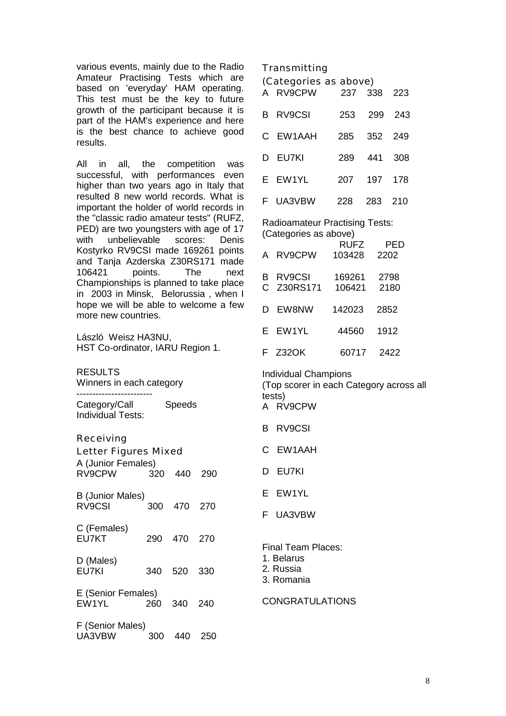various events, mainly due to the Radio Amateur Practising Tests which are based on 'everyday' HAM operating. This test must be the key to future growth of the participant because it is part of the HAM's experience and here is the best chance to achieve good results.

All in all, the competition was successful, with performances even higher than two years ago in Italy that resulted 8 new world records. What is important the holder of world records in the "classic radio amateur tests" (RUFZ, PED) are two youngsters with age of 17 with unbelievable scores: Denis Kostyrko RV9CSI made 169261 points and Tanja Azderska Z30RS171 made 106421 points. The next Championships is planned to take place in 2003 in Minsk, Belorussia , when I hope we will be able to welcome a few more new countries.

László Weisz HA3NU, HST Co-ordinator, IARU Region 1.

RESULTS Winners in each category

------------------------

Category/Call Speeds Individual Tests:

Receiving

| Letter Figures Mixed<br>A (Junior Females)<br>RV9CPW 320 440<br>290 |         |         |      |  |  |  |
|---------------------------------------------------------------------|---------|---------|------|--|--|--|
| <b>B</b> (Junior Males)<br>RV9CSI                                   | 300     | 470     | 270  |  |  |  |
|                                                                     |         |         |      |  |  |  |
| C (Females)<br>EU7KT                                                | 290.    | 470 270 |      |  |  |  |
| D (Males)<br>EU7KI                                                  | 340 520 |         | 330  |  |  |  |
| E (Senior Females)<br>EW1YL                                         | 260     | 340 240 |      |  |  |  |
| F (Senior Males)<br>UA3VBW                                          | 300     | 440     | -250 |  |  |  |

**Transmitting** 

(Categories as above)

| A RV9CPW        |     | 237 338 223 |  |
|-----------------|-----|-------------|--|
| <b>B</b> RV9CSI | 253 | 299 243     |  |
| C EW1AAH        | 285 | 352 249     |  |
| D EU7KI         | 289 | 441 308     |  |
| E EW1YL         | 207 | 197 178     |  |
| F UA3VBW        |     | 228 283 210 |  |
|                 |     |             |  |

Radioamateur Practising Tests: (Categories as above)

| $\sqrt{2}$ |            |             |            |  |  |  |  |
|------------|------------|-------------|------------|--|--|--|--|
|            |            | <b>RUFZ</b> | <b>PED</b> |  |  |  |  |
|            | A RV9CPW   | 103428      | 2202       |  |  |  |  |
| в          | RV9CSI     | 169261      | 2798       |  |  |  |  |
|            | C Z30RS171 | 106421      | 2180       |  |  |  |  |
|            |            |             |            |  |  |  |  |
|            | D EW8NW    | 142023      | 2852       |  |  |  |  |
|            |            |             |            |  |  |  |  |
|            | E EW1YL    | 44560       | 1912       |  |  |  |  |
|            | F Z32OK    | 60717       | 2422       |  |  |  |  |
|            |            |             |            |  |  |  |  |

Individual Champions (Top scorer in each Category across all tests) A RV9CPW B RV9CSI C EW1AAH D EU7KI E EW1YL F UA3VBW

Final Team Places:

1. Belarus

2. Russia

3. Romania

CONGRATULATIONS